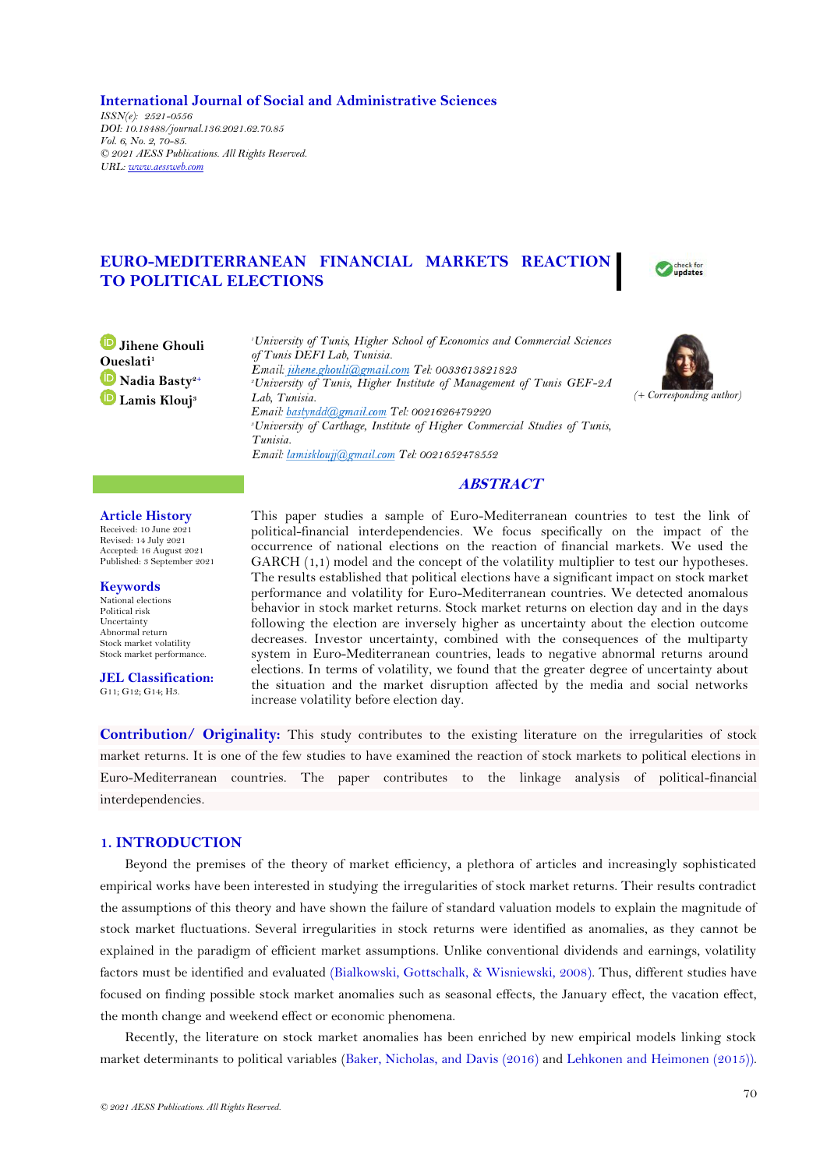**International Journal of Social and Administrative Sciences** *ISSN(e): 2521-0556 DOI: 10.18488/journal.136.2021.62.70.85 Vol. 6, No. 2, 70-85. © 2021 AESS Publications. All Rights Reserved. URL: www.aessweb.com*

# **EURO-MEDITERRANEAN FINANCIAL MARKETS REACTION TO POLITICAL ELECTIONS**



**Jihene Ghouli Oueslati<sup>1</sup> Nadia Basty2+ Lamis Klouj<sup>3</sup>**

*<sup>1</sup>University of Tunis, Higher School of Economics and Commercial Sciences of Tunis DEFI Lab, Tunisia.* Email: jihene.ghouli@gmail.com Tel: 0033613821823 *<sup>2</sup>University of Tunis, Higher Institute of Management of Tunis GEF-2A Lab, Tunisia.* Email: bastyndd@gmail.com Tel: 0021626479220 *<sup>3</sup>University of Carthage, Institute of Higher Commercial Studies of Tunis, Tunisia.*



# **ABSTRACT**

#### **Article History**

Received: 10 June 2021 Revised: 14 July 2021 Accepted: 16 August 2021 Published: 3 September 2021

#### **Keywords**

National elections Political risk Uncertainty Abnormal return Stock market volatility Stock market performance.

**JEL Classification:**  G11; G12; G14; H3.

This paper studies a sample of Euro-Mediterranean countries to test the link of political-financial interdependencies. We focus specifically on the impact of the occurrence of national elections on the reaction of financial markets. We used the GARCH  $(1,1)$  model and the concept of the volatility multiplier to test our hypotheses. The results established that political elections have a significant impact on stock market performance and volatility for Euro-Mediterranean countries. We detected anomalous behavior in stock market returns. Stock market returns on election day and in the days following the election are inversely higher as uncertainty about the election outcome decreases. Investor uncertainty, combined with the consequences of the multiparty system in Euro-Mediterranean countries, leads to negative abnormal returns around elections. In terms of volatility, we found that the greater degree of uncertainty about the situation and the market disruption affected by the media and social networks increase volatility before election day.

**Contribution/ Originality:** This study contributes to the existing literature on the irregularities of stock market returns. It is one of the few studies to have examined the reaction of stock markets to political elections in Euro-Mediterranean countries. The paper contributes to the linkage analysis of political-financial interdependencies.

# **1. INTRODUCTION**

Beyond the premises of the theory of market efficiency, a plethora of articles and increasingly sophisticated empirical works have been interested in studying the irregularities of stock market returns. Their results contradict the assumptions of this theory and have shown the failure of standard valuation models to explain the magnitude of stock market fluctuations. Several irregularities in stock returns were identified as anomalies, as they cannot be explained in the paradigm of efficient market assumptions. Unlike conventional dividends and earnings, volatility factors must be identified and evaluated [\(Bialkowski, Gottschalk, & Wisniewski, 2008\)](#page-13-0). Thus, different studies have focused on finding possible stock market anomalies such as seasonal effects, the January effect, the vacation effect, the month change and weekend effect or economic phenomena.

Recently, the literature on stock market anomalies has been enriched by new empirical models linking stock market determinants to political variables [\(Baker, Nicholas, and Davis \(2016\)](#page-13-1) and [Lehkonen and Heimonen](#page-14-0) (2015)).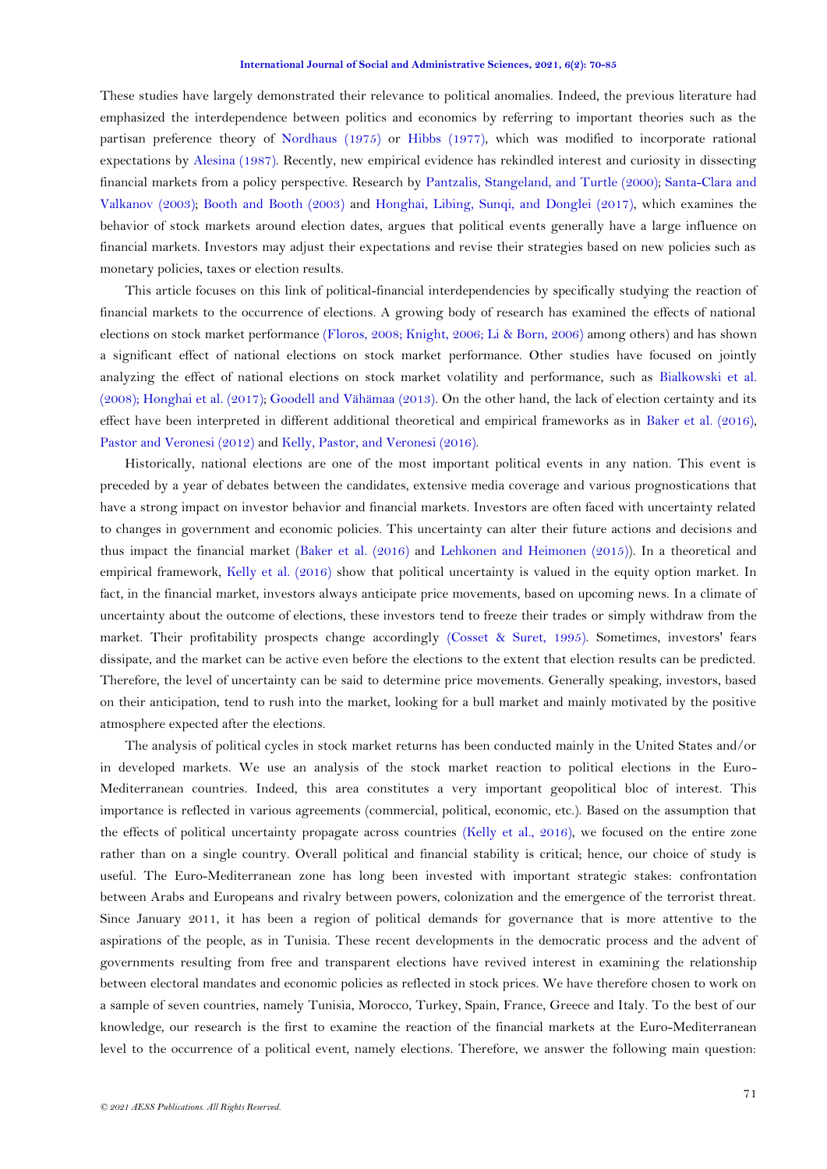These studies have largely demonstrated their relevance to political anomalies. Indeed, the previous literature had emphasized the interdependence between politics and economics by referring to important theories such as the partisan preference theory of [Nordhaus \(1975\)](#page-14-1) or [Hibbs \(1977\)](#page-14-2), which was modified to incorporate rational expectations by [Alesina \(1987\)](#page-13-2). Recently, new empirical evidence has rekindled interest and curiosity in dissecting financial markets from a policy perspective. Research by [Pantzalis, Stangeland, and Turtle \(2000\)](#page-14-1); [Santa-Clara and](#page-15-0)  [Valkanov \(2003\)](#page-15-0); [Booth and Booth \(2003\)](#page-13-3) and [Honghai, Libing, Sunqi, and Donglei \(2017\)](#page-14-3), which examines the behavior of stock markets around election dates, argues that political events generally have a large influence on financial markets. Investors may adjust their expectations and revise their strategies based on new policies such as monetary policies, taxes or election results.

This article focuses on this link of political-financial interdependencies by specifically studying the reaction of financial markets to the occurrence of elections. A growing body of research has examined the effects of national elections on stock market performance [\(Floros, 2008;](#page-14-4) [Knight, 2006;](#page-14-5) [Li & Born, 2006\)](#page-14-6) among others) and has shown a significant effect of national elections on stock market performance. Other studies have focused on jointly analyzing the effect of national elections on stock market volatility and performance, such as [Bialkowski et al.](#page-13-0)  [\(2008\)](#page-13-0); [Honghai et al. \(2017\)](#page-14-3); [Goodell and Vähämaa \(2013\)](#page-14-7). On the other hand, the lack of election certainty and its effect have been interpreted in different additional theoretical and empirical frameworks as in [Baker et al. \(2016\)](#page-13-1), [Pastor and Veronesi \(2012\)](#page-14-1) and [Kelly, Pastor, and Veronesi \(2016\)](#page-14-8).

Historically, national elections are one of the most important political events in any nation. This event is preceded by a year of debates between the candidates, extensive media coverage and various prognostications that have a strong impact on investor behavior and financial markets. Investors are often faced with uncertainty related to changes in government and economic policies. This uncertainty can alter their future actions and decisions and thus impact the financial market [\(Baker et al. \(2016\)](#page-13-1) and [Lehkonen and Heimonen \(2015\)](#page-14-0)). In a theoretical and empirical framework, [Kelly et al. \(2016\)](#page-14-8) show that political uncertainty is valued in the equity option market. In fact, in the financial market, investors always anticipate price movements, based on upcoming news. In a climate of uncertainty about the outcome of elections, these investors tend to freeze their trades or simply withdraw from the market. Their profitability prospects change accordingly [\(Cosset & Suret, 1995\)](#page-13-4). Sometimes, investors' fears dissipate, and the market can be active even before the elections to the extent that election results can be predicted. Therefore, the level of uncertainty can be said to determine price movements. Generally speaking, investors, based on their anticipation, tend to rush into the market, looking for a bull market and mainly motivated by the positive atmosphere expected after the elections.

The analysis of political cycles in stock market returns has been conducted mainly in the United States and/or in developed markets. We use an analysis of the stock market reaction to political elections in the Euro-Mediterranean countries. Indeed, this area constitutes a very important geopolitical bloc of interest. This importance is reflected in various agreements (commercial, political, economic, etc.). Based on the assumption that the effects of political uncertainty propagate across countries [\(Kelly et al., 2016\)](#page-14-8), we focused on the entire zone rather than on a single country. Overall political and financial stability is critical; hence, our choice of study is useful. The Euro-Mediterranean zone has long been invested with important strategic stakes: confrontation between Arabs and Europeans and rivalry between powers, colonization and the emergence of the terrorist threat. Since January 2011, it has been a region of political demands for governance that is more attentive to the aspirations of the people, as in Tunisia. These recent developments in the democratic process and the advent of governments resulting from free and transparent elections have revived interest in examining the relationship between electoral mandates and economic policies as reflected in stock prices. We have therefore chosen to work on a sample of seven countries, namely Tunisia, Morocco, Turkey, Spain, France, Greece and Italy. To the best of our knowledge, our research is the first to examine the reaction of the financial markets at the Euro-Mediterranean level to the occurrence of a political event, namely elections. Therefore, we answer the following main question: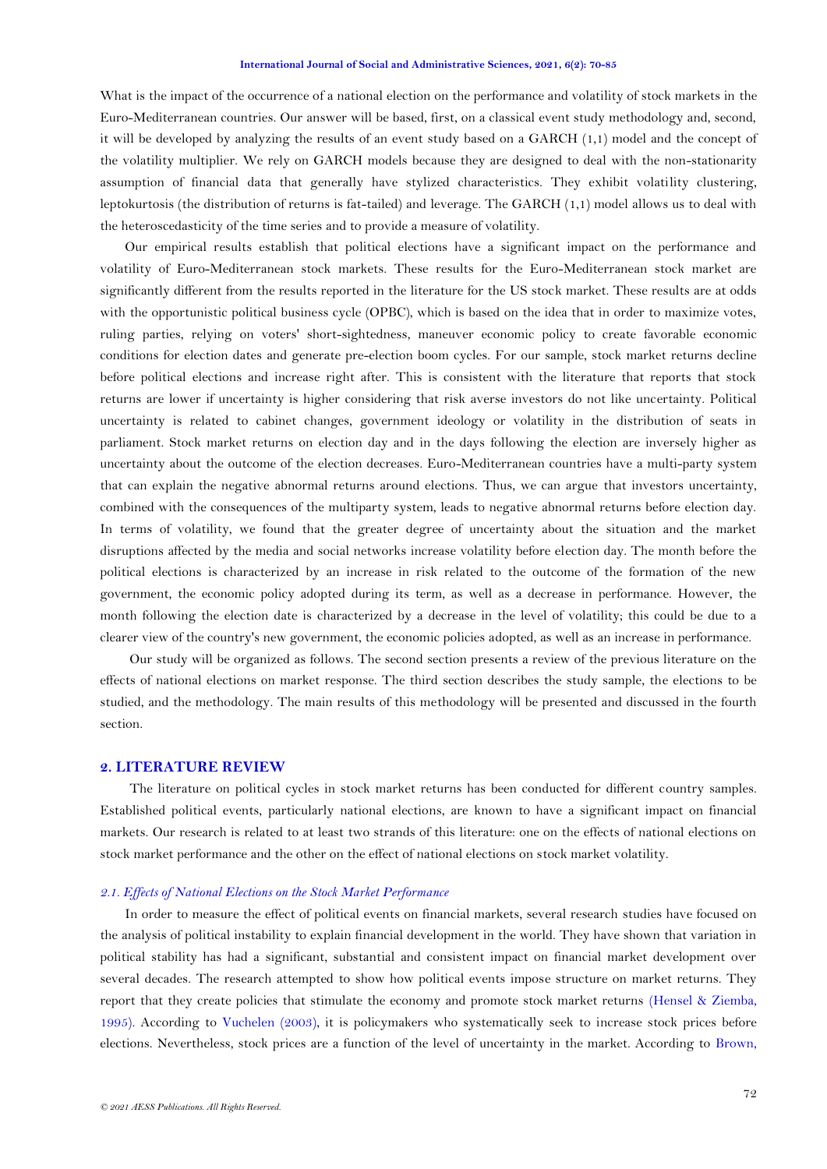What is the impact of the occurrence of a national election on the performance and volatility of stock markets in the Euro-Mediterranean countries. Our answer will be based, first, on a classical event study methodology and, second, it will be developed by analyzing the results of an event study based on a GARCH (1,1) model and the concept of the volatility multiplier. We rely on GARCH models because they are designed to deal with the non-stationarity assumption of financial data that generally have stylized characteristics. They exhibit volatility clustering, leptokurtosis (the distribution of returns is fat-tailed) and leverage. The GARCH (1,1) model allows us to deal with the heteroscedasticity of the time series and to provide a measure of volatility.

Our empirical results establish that political elections have a significant impact on the performance and volatility of Euro-Mediterranean stock markets. These results for the Euro-Mediterranean stock market are significantly different from the results reported in the literature for the US stock market. These results are at odds with the opportunistic political business cycle (OPBC), which is based on the idea that in order to maximize votes, ruling parties, relying on voters' short-sightedness, maneuver economic policy to create favorable economic conditions for election dates and generate pre-election boom cycles. For our sample, stock market returns decline before political elections and increase right after. This is consistent with the literature that reports that stock returns are lower if uncertainty is higher considering that risk averse investors do not like uncertainty. Political uncertainty is related to cabinet changes, government ideology or volatility in the distribution of seats in parliament. Stock market returns on election day and in the days following the election are inversely higher as uncertainty about the outcome of the election decreases. Euro-Mediterranean countries have a multi-party system that can explain the negative abnormal returns around elections. Thus, we can argue that investors uncertainty, combined with the consequences of the multiparty system, leads to negative abnormal returns before election day. In terms of volatility, we found that the greater degree of uncertainty about the situation and the market disruptions affected by the media and social networks increase volatility before election day. The month before the political elections is characterized by an increase in risk related to the outcome of the formation of the new government, the economic policy adopted during its term, as well as a decrease in performance. However, the month following the election date is characterized by a decrease in the level of volatility; this could be due to a clearer view of the country's new government, the economic policies adopted, as well as an increase in performance.

Our study will be organized as follows. The second section presents a review of the previous literature on the effects of national elections on market response. The third section describes the study sample, the elections to be studied, and the methodology. The main results of this methodology will be presented and discussed in the fourth section.

## **2. LITERATURE REVIEW**

The literature on political cycles in stock market returns has been conducted for different country samples. Established political events, particularly national elections, are known to have a significant impact on financial markets. Our research is related to at least two strands of this literature: one on the effects of national elections on stock market performance and the other on the effect of national elections on stock market volatility.

### *2.1. Effects of National Elections on the Stock Market Performance*

In order to measure the effect of political events on financial markets, several research studies have focused on the analysis of political instability to explain financial development in the world. They have shown that variation in political stability has had a significant, substantial and consistent impact on financial market development over several decades. The research attempted to show how political events impose structure on market returns. They report that they create policies that stimulate the economy and promote stock market returns [\(Hensel & Ziemba,](#page-14-9)  [1995\)](#page-14-9). According to [Vuchelen \(2003\)](#page-15-1), it is policymakers who systematically seek to increase stock prices before elections. Nevertheless, stock prices are a function of the level of uncertainty in the market. According to [Brown,](#page-13-4)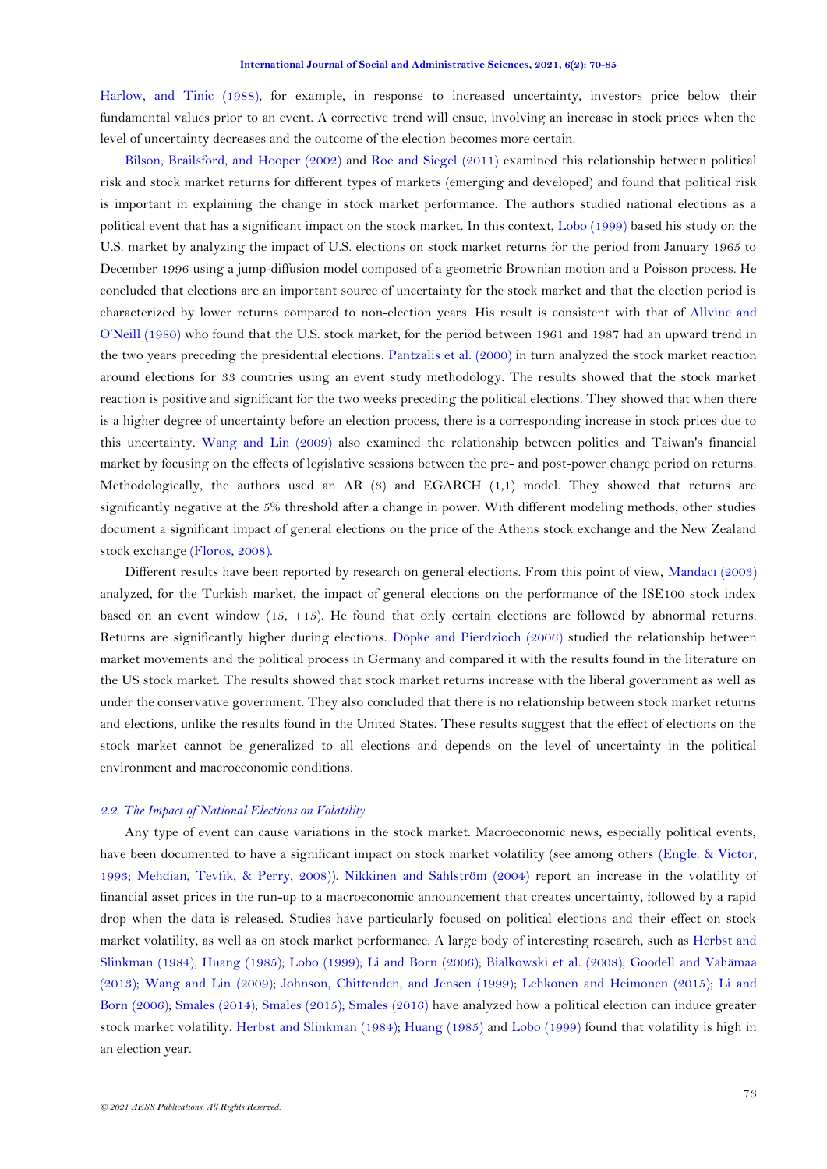[Harlow, and Tinic \(1988\)](#page-13-4), for example, in response to increased uncertainty, investors price below their fundamental values prior to an event. A corrective trend will ensue, involving an increase in stock prices when the level of uncertainty decreases and the outcome of the election becomes more certain.

[Bilson, Brailsford, and](#page-13-5) Hooper (2002) and [Roe and Siegel \(2011\)](#page-15-2) examined this relationship between political risk and stock market returns for different types of markets (emerging and developed) and found that political risk is important in explaining the change in stock market performance. The authors studied national elections as a political event that has a significant impact on the stock market. In this context, [Lobo \(1999\)](#page-14-10) based his study on the U.S. market by analyzing the impact of U.S. elections on stock market returns for the period from January 1965 to December 1996 using a jump-diffusion model composed of a geometric Brownian motion and a Poisson process. He concluded that elections are an important source of uncertainty for the stock market and that the election period is characterized by lower returns compared to non-election years. His result is consistent with that of [Allvine and](#page-13-6)  [O'Neill \(1980](#page-13-6)) who found that the U.S. stock market, for the period between 1961 and 1987 had an upward trend in the two years preceding the presidential elections. [Pantzalis et al. \(2000\)](#page-14-1) in turn analyzed the stock market reaction around elections for 33 countries using an event study methodology. The results showed that the stock market reaction is positive and significant for the two weeks preceding the political elections. They showed that when there is a higher degree of uncertainty before an election process, there is a corresponding increase in stock prices due to this uncertainty. [Wang and Lin \(2009\)](#page-15-3) also examined the relationship between politics and Taiwan's financial market by focusing on the effects of legislative sessions between the pre- and post-power change period on returns. Methodologically, the authors used an AR (3) and EGARCH (1,1) model. They showed that returns are significantly negative at the 5% threshold after a change in power. With different modeling methods, other studies document a significant impact of general elections on the price of the Athens stock exchange and the New Zealand stock exchange [\(Floros, 2008\)](#page-14-4).

Different results have been reported by research on general elections. From this point of view, [Mandac](#page-14-11)ı (2003) analyzed, for the Turkish market, the impact of general elections on the performance of the ISE100 stock index based on an event window (15, +15). He found that only certain elections are followed by abnormal returns. Returns are significantly higher during elections. [Döpke and Pierdzioch \(2006\)](#page-13-4) studied the relationship between market movements and the political process in Germany and compared it with the results found in the literature on the US stock market. The results showed that stock market returns increase with the liberal government as well as under the conservative government. They also concluded that there is no relationship between stock market returns and elections, unlike the results found in the United States. These results suggest that the effect of elections on the stock market cannot be generalized to all elections and depends on the level of uncertainty in the political environment and macroeconomic conditions.

# *2.2. The Impact of National Elections on Volatility*

Any type of event can cause variations in the stock market. Macroeconomic news, especially political events, have been documented to have a significant impact on stock market volatility (see among others [\(Engle. & Victor,](#page-13-4)  [1993;](#page-13-4) [Mehdian, Tevfik, & Perry, 2008\)](#page-14-1)). [Nikkinen and Sahlström \(2004\)](#page-14-1) report an increase in the volatility of financial asset prices in the run-up to a macroeconomic announcement that creates uncertainty, followed by a rapid drop when the data is released. Studies have particularly focused on political elections and their effect on stock market volatility, as well as on stock market performance. A large body of interesting research, such as [Herbst and](#page-14-12)  [Slinkman \(1984\)](#page-14-12); [Huang \(1985\)](#page-14-13); [Lobo \(1999\)](#page-14-10); [Li and Born \(2006\)](#page-14-6); [Bialkowski et al. \(2008\)](#page-13-0); [Goodell and Vähämaa](#page-14-7)  [\(2013\)](#page-14-7); [Wang and Lin \(2009\)](#page-15-3); [Johnson, Chittenden, and Jensen \(1999\)](#page-14-14); [Lehkonen and Heimonen \(2015\)](#page-14-0); [Li and](#page-14-6)  [Born \(2006\)](#page-14-6); [Smales \(2014\)](#page-15-4); [Smales](#page-15-5) (2015); [Smales \(2016\)](#page-15-6) have analyzed how a political election can induce greater stock market volatility. [Herbst and Slinkman \(1984\)](#page-14-12); [Huang \(1985\)](#page-14-13) and [Lobo \(1999\)](#page-14-10) found that volatility is high in an election year.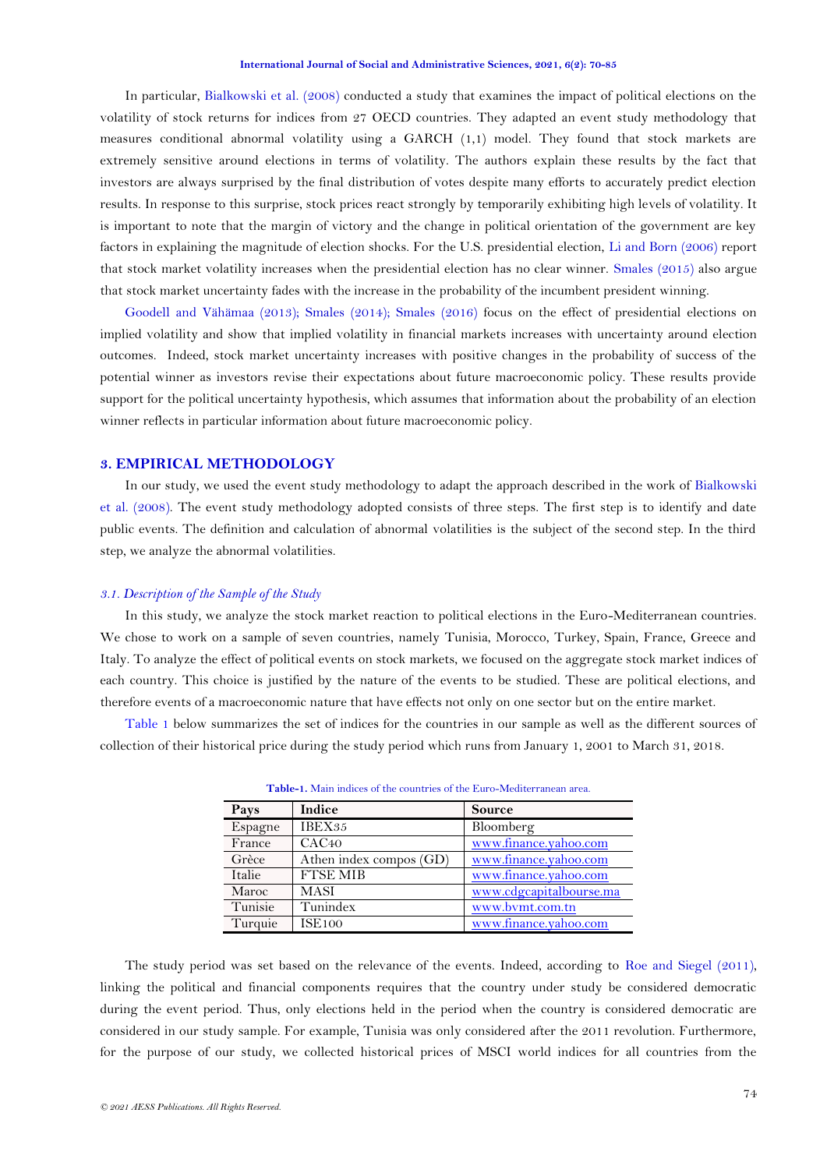<span id="page-4-1"></span>In particular, [Bialkowski et al.](#page-13-0) (2008) conducted a study that examines the impact of political elections on the volatility of stock returns for indices from 27 OECD countries. They adapted an event study methodology that measures conditional abnormal volatility using a GARCH (1,1) model. They found that stock markets are extremely sensitive around elections in terms of volatility. The authors explain these results by the fact that investors are always surprised by the final distribution of votes despite many efforts to accurately predict election results. In response to this surprise, stock prices react strongly by temporarily exhibiting high levels of volatility. It is important to note that the margin of victory and the change in political orientation of the government are key factors in explaining the magnitude of election shocks. For the U.S. presidential election, [Li and Born \(2006\)](#page-14-6) report that stock market volatility increases when the presidential election has no clear winner. [Smales \(2015\)](#page-15-5) also argue that stock market uncertainty fades with the increase in the probability of the incumbent president winning.

[Goodell and Vähämaa \(2013\)](#page-14-7); [Smales \(2014\)](#page-15-4); [Smales](#page-15-6) (2016) focus on the effect of presidential elections on implied volatility and show that implied volatility in financial markets increases with uncertainty around election outcomes. Indeed, stock market uncertainty increases with positive changes in the probability of success of the potential winner as investors revise their expectations about future macroeconomic policy. These results provide support for the political uncertainty hypothesis, which assumes that information about the probability of an election winner reflects in particular information about future macroeconomic policy.

# **3. EMPIRICAL METHODOLOGY**

In our study, we used the event study methodology to adapt the approach described in the work of [Bialkowski](#page-13-0)  [et al. \(2008\)](#page-13-0). The event study methodology adopted consists of three steps. The first step is to identify and date public events. The definition and calculation of abnormal volatilities is the subject of the second step. In the third step, we analyze the abnormal volatilities.

#### *3.1. Description of the Sample of the Study*

In this study, we analyze the stock market reaction to political elections in the Euro-Mediterranean countries. We chose to work on a sample of seven countries, namely Tunisia, Morocco, Turkey, Spain, France, Greece and Italy. To analyze the effect of political events on stock markets, we focused on the aggregate stock market indices of each country. This choice is justified by the nature of the events to be studied. These are political elections, and therefore events of a macroeconomic nature that have effects not only on one sector but on the entire market.

<span id="page-4-0"></span>[Table 1](#page-4-0) below summarizes the set of indices for the countries in our sample as well as the different sources of collection of their historical price during the study period which runs from January 1, 2001 to March 31, 2018.

| Pays    | Indice                  | <b>Source</b>           |
|---------|-------------------------|-------------------------|
| Espagne | IBEX35                  | Bloomberg               |
| France  | CAC <sub>40</sub>       | www.finance.yahoo.com   |
| Grèce   | Athen index compos (GD) | www.finance.yahoo.com   |
| Italie  | <b>FTSE MIB</b>         | www.finance.yahoo.com   |
| Maroc   | <b>MASI</b>             | www.cdgcapitalbourse.ma |
| Tunisie | Tunindex                | www.bymt.com.tn         |
| Turquie | <b>ISE100</b>           | www.finance.yahoo.com   |

**Table-1.** Main indices of the countries of the Euro-Mediterranean area.

The study period was set based on the relevance of the events. Indeed, according to [Roe and Siegel \(2011\)](#page-15-2), linking the political and financial components requires that the country under study be considered democratic during the event period. Thus, only elections held in the period when the country is considered democratic are considered in our study sample. For example, Tunisia was only considered after the 2011 revolution. Furthermore, for the purpose of our study, we collected historical prices of MSCI world indices for all countries from the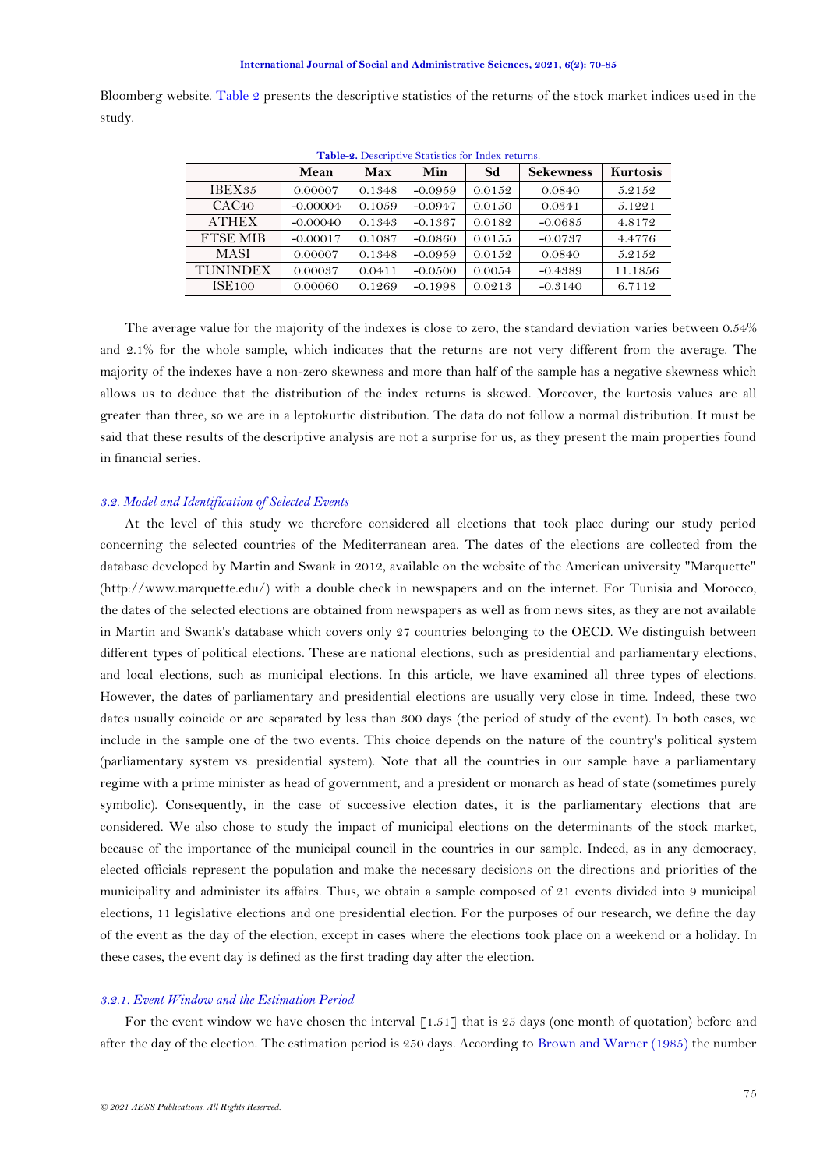<span id="page-5-0"></span>Bloomberg website. [Table 2](#page-4-1) presents the descriptive statistics of the returns of the stock market indices used in the study.

| Table-2. Descriptive Statistics for Index returns. |            |        |           |        |                  |                 |
|----------------------------------------------------|------------|--------|-----------|--------|------------------|-----------------|
|                                                    | Mean       | Max    | Min       | Sd     | <b>Sekewness</b> | <b>Kurtosis</b> |
| IBEX35                                             | 0.00007    | 0.1348 | $-0.0959$ | 0.0152 | 0.0840           | 5.2152          |
| CAC <sub>40</sub>                                  | $-0.00004$ | 0.1059 | $-0.0947$ | 0.0150 | 0.0341           | 5.1221          |
| <b>ATHEX</b>                                       | $-0.00040$ | 0.1343 | $-0.1367$ | 0.0182 | $-0.0685$        | 4.8172          |
| <b>FTSE MIB</b>                                    | $-0.00017$ | 0.1087 | $-0.0860$ | 0.0155 | $-0.0737$        | 4.4776          |
| MASI                                               | 0.00007    | 0.1348 | $-0.0959$ | 0.0152 | 0.0840           | 5.2152          |
| <b>TUNINDEX</b>                                    | 0.00037    | 0.0411 | $-0.0500$ | 0.0054 | $-0.4389$        | 11.1856         |
| <b>ISE100</b>                                      | 0.00060    | 0.1269 | $-0.1998$ | 0.0213 | $-0.3140$        | 6.7112          |

The average value for the majority of the indexes is close to zero, the standard deviation varies between 0.54% and 2.1% for the whole sample, which indicates that the returns are not very different from the average. The majority of the indexes have a non-zero skewness and more than half of the sample has a negative skewness which allows us to deduce that the distribution of the index returns is skewed. Moreover, the kurtosis values are all greater than three, so we are in a leptokurtic distribution. The data do not follow a normal distribution. It must be said that these results of the descriptive analysis are not a surprise for us, as they present the main properties found in financial series.

#### *3.2. Model and Identification of Selected Events*

At the level of this study we therefore considered all elections that took place during our study period concerning the selected countries of the Mediterranean area. The dates of the elections are collected from the database developed by Martin and Swank in 2012, available on the website of the American university "Marquette" (http://www.marquette.edu/) with a double check in newspapers and on the internet. For Tunisia and Morocco, the dates of the selected elections are obtained from newspapers as well as from news sites, as they are not available in Martin and Swank's database which covers only 27 countries belonging to the OECD. We distinguish between different types of political elections. These are national elections, such as presidential and parliamentary elections, and local elections, such as municipal elections. In this article, we have examined all three types of elections. However, the dates of parliamentary and presidential elections are usually very close in time. Indeed, these two dates usually coincide or are separated by less than 300 days (the period of study of the event). In both cases, we include in the sample one of the two events. This choice depends on the nature of the country's political system (parliamentary system vs. presidential system). Note that all the countries in our sample have a parliamentary regime with a prime minister as head of government, and a president or monarch as head of state (sometimes purely symbolic). Consequently, in the case of successive election dates, it is the parliamentary elections that are considered. We also chose to study the impact of municipal elections on the determinants of the stock market, because of the importance of the municipal council in the countries in our sample. Indeed, as in any democracy, elected officials represent the population and make the necessary decisions on the directions and priorities of the municipality and administer its affairs. Thus, we obtain a sample composed of 21 events divided into 9 municipal elections, 11 legislative elections and one presidential election. For the purposes of our research, we define the day of the event as the day of the election, except in cases where the elections took place on a weekend or a holiday. In these cases, the event day is defined as the first trading day after the election.

### *3.2.1. Event Window and the Estimation Period*

For the event window we have chosen the interval  $\lceil 1.51 \rceil$  that is 25 days (one month of quotation) before and after the day of the election. The estimation period is 250 days. According to [Brown and Warner \(1985\)](#page-13-7) the number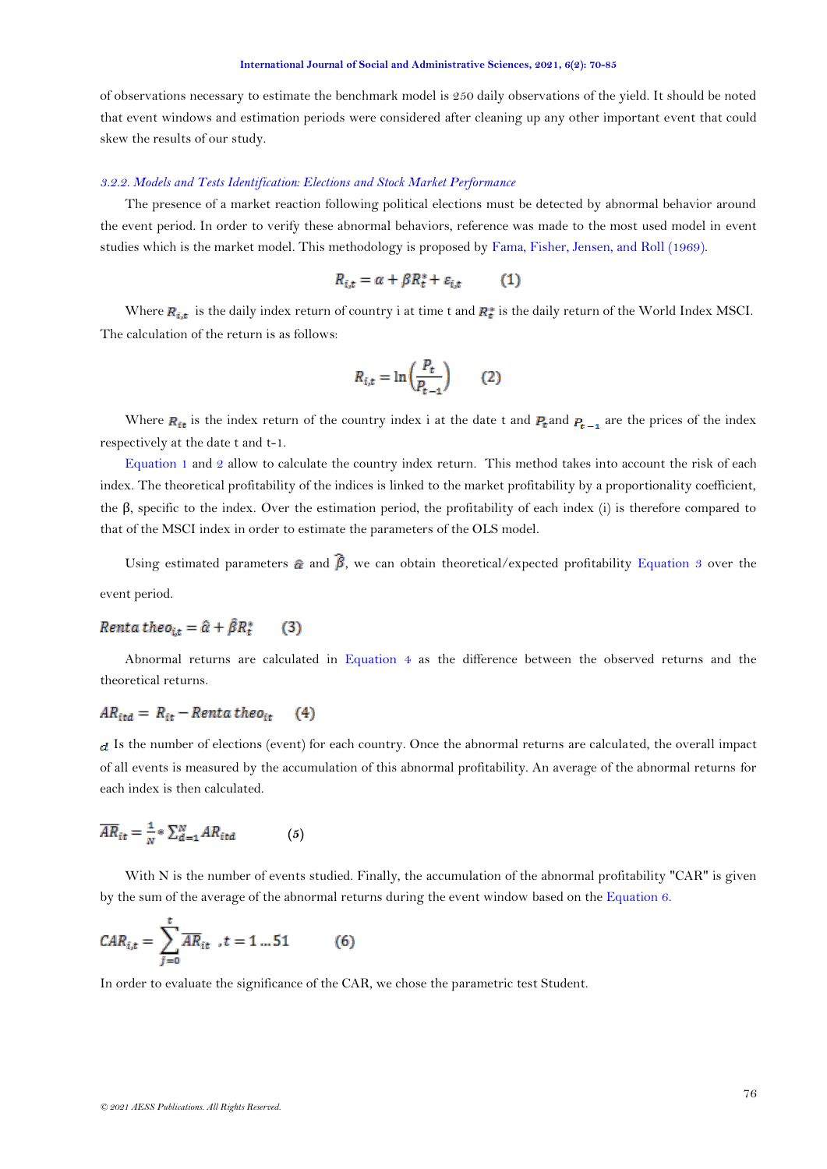<span id="page-6-4"></span>of observations necessary to estimate the benchmark model is 250 daily observations of the yield. It should be noted that event windows and estimation periods were considered after cleaning up any other important event that could skew the results of our study.

#### *3.2.2. Models and Tests Identification: Elections and Stock Market Performance*

The presence of a market reaction following political elections must be detected by abnormal behavior around the event period. In order to verify these abnormal behaviors, reference was made to the most used model in event studies which is the market model. This methodology is proposed by [Fama, Fisher, Jensen, and Roll \(1969\)](#page-14-15).

<span id="page-6-0"></span>
$$
R_{i,t} = \alpha + \beta R_t^* + \varepsilon_{i,t} \tag{1}
$$

Where  $R_{i,t}$  is the daily index return of country i at time t and  $R_t^*$  is the daily return of the World Index MSCI. The calculation of the return is as follows:

$$
R_{i,t} = \ln\left(\frac{P_t}{P_{t-1}}\right) \qquad (2)
$$

Where  $R_{it}$  is the index return of the country index i at the date t and  $P_t$  and  $P_{t-1}$  are the prices of the index respectively at the date t and t-1.

[Equation](#page-5-0) 1 and [2](#page-6-0) allow to calculate the country index return. This method takes into account the risk of each index. The theoretical profitability of the indices is linked to the market profitability by a proportionality coefficient, the β, specific to the index. Over the estimation period, the profitability of each index (i) is therefore compared to that of the MSCI index in order to estimate the parameters of the OLS model.

<span id="page-6-1"></span>Using estimated parameters  $\hat{\alpha}$  and  $\hat{\beta}$ , we can obtain theoretical/expected profitability [Equation](#page-6-1) 3 over the event period.

#### Renta theo<sub>it</sub> =  $\hat{\alpha} + \hat{\beta}R_t^*$  $(3)$

<span id="page-6-2"></span>Abnormal returns are calculated in [Equation](#page-6-2) 4 as the difference between the observed returns and the theoretical returns.

# $AR_{itd} = R_{it} - Renta\,theo_{it}$  (4)

 $d$  Is the number of elections (event) for each country. Once the abnormal returns are calculated, the overall impact of all events is measured by the accumulation of this abnormal profitability. An average of the abnormal returns for each index is then calculated.

$$
\overline{AR}_{it} = \frac{1}{N} * \sum_{d=1}^{N} AR_{itd} \tag{5}
$$

<span id="page-6-3"></span>With N is the number of events studied. Finally, the accumulation of the abnormal profitability "CAR" is given by the sum of the average of the abnormal returns during the event window based on th[e Equation 6.](#page-6-3)

$$
CAR_{i,t} = \sum_{j=0}^{t} \overline{AR}_{it} , t = 1 ... 51
$$
 (6)

In order to evaluate the significance of the CAR, we chose the parametric test Student.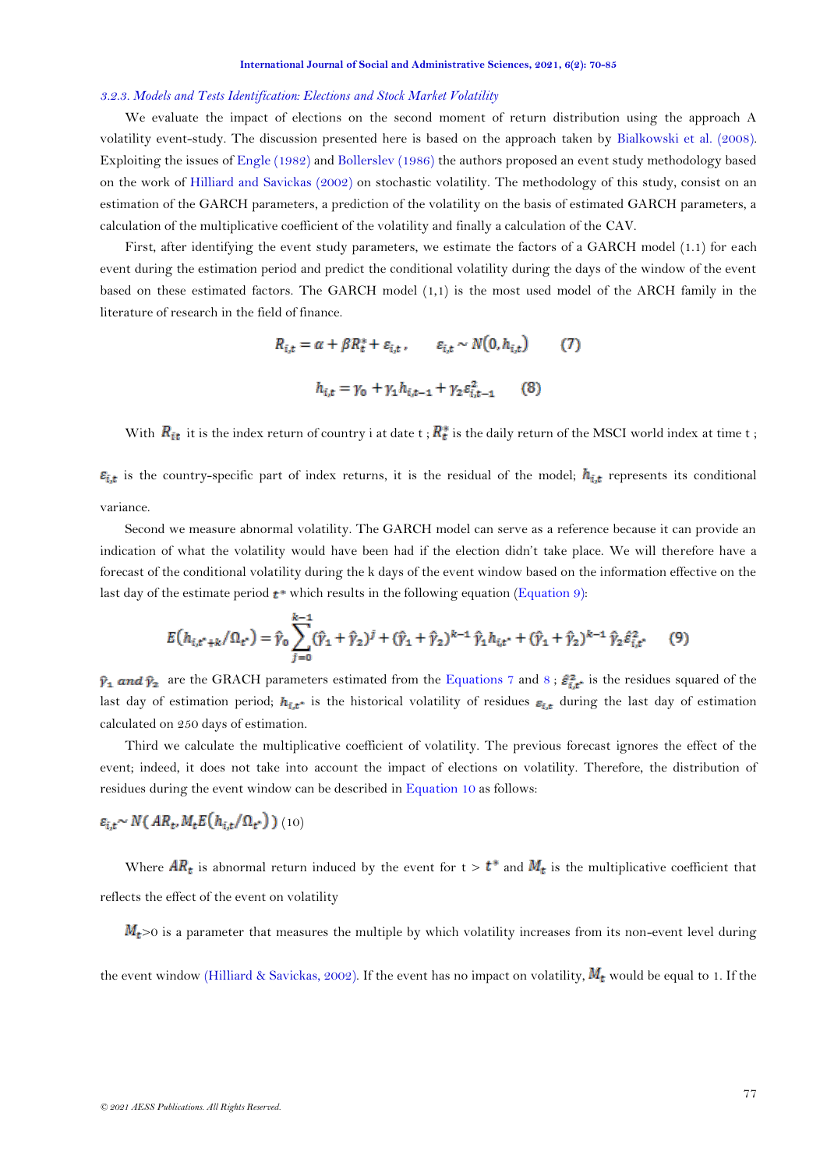#### <span id="page-7-3"></span>*3.2.3. Models and Tests Identification: Elections and Stock Market Volatility*

We evaluate the impact of elections on the second moment of return distribution using the approach A volatility event-study. The discussion presented here is based on the approach taken by [Bialkowski et al. \(2008\)](#page-13-0). Exploiting the issues of [Engle \(1982\)](#page-13-4) and [Bollerslev \(1986\)](#page-13-8) the authors proposed an event study methodology based on the work of [Hilliard and Savickas \(2002\)](#page-14-16) on stochastic volatility. The methodology of this study, consist on an estimation of the GARCH parameters, a prediction of the volatility on the basis of estimated GARCH parameters, a calculation of the multiplicative coefficient of the volatility and finally a calculation of the CAV.

First, after identifying the event study parameters, we estimate the factors of a GARCH model (1.1) for each event during the estimation period and predict the conditional volatility during the days of the window of the event based on these estimated factors. The GARCH model (1,1) is the most used model of the ARCH family in the literature of research in the field of finance.

<span id="page-7-1"></span>
$$
R_{i,t} = \alpha + \beta R_t^* + \varepsilon_{i,t}, \qquad \varepsilon_{i,t} \sim N(0, h_{i,t}) \tag{7}
$$

$$
h_{i,t} = \gamma_0 + \gamma_1 h_{i,t-1} + \gamma_2 \varepsilon_{i,t-1}^2 \tag{8}
$$

With  $R_{it}$  it is the index return of country i at date t;  $R_t^*$  is the daily return of the MSCI world index at time t;

 $\varepsilon_{i,t}$  is the country-specific part of index returns, it is the residual of the model;  $h_{i,t}$  represents its conditional variance.

Second we measure abnormal volatility. The GARCH model can serve as a reference because it can provide an indication of what the volatility would have been had if the election didn't take place. We will therefore have a forecast of the conditional volatility during the k days of the event window based on the information effective on the last day of the estimate period  $t^*$  which results in the following equation [\(Equation](#page-7-0) 9):

<span id="page-7-0"></span>
$$
E(h_{i,t^*+k}/\Omega_{t^*}) = \hat{\gamma}_0 \sum_{j=0}^{k-1} (\hat{\gamma}_1 + \hat{\gamma}_2)^j + (\hat{\gamma}_1 + \hat{\gamma}_2)^{k-1} \hat{\gamma}_1 h_{i,t^*} + (\hat{\gamma}_1 + \hat{\gamma}_2)^{k-1} \hat{\gamma}_2 \hat{\varepsilon}_{i,t^*}^2 \tag{9}
$$

 $\hat{y}_1$  and  $\hat{y}_2$  are the GRACH parameters estimated from the [Equations 7](#page-6-4) and [8](#page-7-1);  $\hat{\varepsilon}_{i,t}^2$  is the residues squared of the last day of estimation period;  $h_{i,t}$  is the historical volatility of residues  $\varepsilon_{i,t}$  during the last day of estimation calculated on 250 days of estimation.

Third we calculate the multiplicative coefficient of volatility. The previous forecast ignores the effect of the event; indeed, it does not take into account the impact of elections on volatility. Therefore, the distribution of residues during the event window can be described in [Equation 10](#page-7-2) as follows:

# <span id="page-7-2"></span> $\varepsilon_{i,t} \sim N(AR_t, M_t E(h_{i,t}/\Omega_t))$  (10)

Where  $AR_t$  is abnormal return induced by the event for  $t > t^*$  and  $M_t$  is the multiplicative coefficient that reflects the effect of the event on volatility

 $M_t$ >0 is a parameter that measures the multiple by which volatility increases from its non-event level during

the event window [\(Hilliard & Savickas, 2002\)](#page-14-16). If the event has no impact on volatility,  $M_t$  would be equal to 1. If the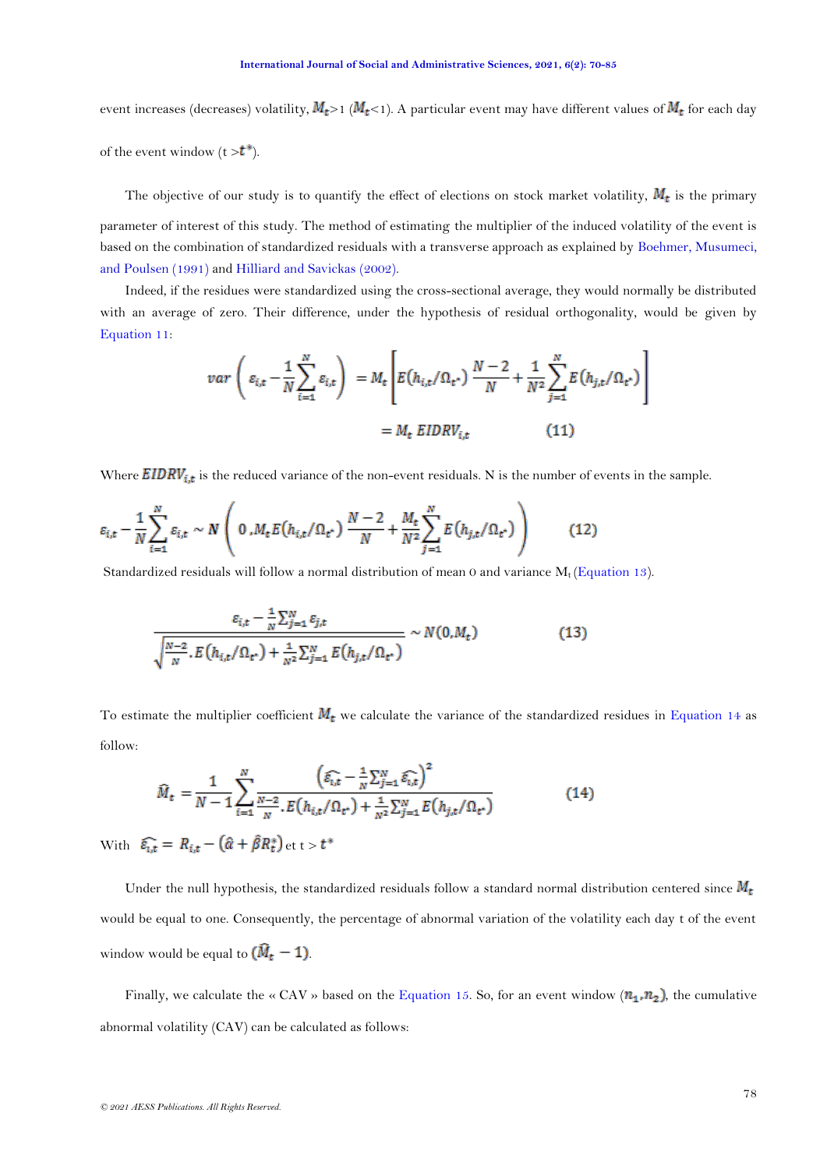event increases (decreases) volatility,  $M_t$ >1 ( $M_t$ <1). A particular event may have different values of  $M_t$  for each day

of the event window  $(t > t^*).$ 

The objective of our study is to quantify the effect of elections on stock market volatility,  $M_t$  is the primary parameter of interest of this study. The method of estimating the multiplier of the induced volatility of the event is based on the combination of standardized residuals with a transverse approach as explained by [Boehmer, Musumeci,](#page-13-9)  [and Poulsen \(1991\)](#page-13-9) and [Hilliard and Savickas](#page-14-16) (2002).

Indeed, if the residues were standardized using the cross-sectional average, they would normally be distributed with an average of zero. Their difference, under the hypothesis of residual orthogonality, would be given by [Equation 11:](#page-7-3)

$$
var\left(\varepsilon_{i,t} - \frac{1}{N} \sum_{i=1}^{N} \varepsilon_{i,t}\right) = M_t \left[E\left(h_{i,t}/\Omega_{t^*}\right) \frac{N-2}{N} + \frac{1}{N^2} \sum_{j=1}^{N} E\left(h_{j,t}/\Omega_{t^*}\right)\right]
$$

$$
= M_t \, EIDRV_{i,t} \tag{11}
$$

Where  $EIDRV_{i,t}$  is the reduced variance of the non-event residuals. N is the number of events in the sample.

$$
\varepsilon_{i,t} - \frac{1}{N} \sum_{i=1}^{N} \varepsilon_{i,t} \sim N \left( 0 \, , M_t E(h_{i,t}/\Omega_{t^*}) \, \frac{N-2}{N} + \frac{M_t}{N^2} \sum_{j=1}^{N} E(h_{j,t}/\Omega_{t^*}) \right) \tag{12}
$$

Standardized residuals will follow a normal distribution of mean 0 and variance  $M_t$  [\(Equation 13\)](#page-8-0).

<span id="page-8-0"></span>
$$
\frac{\varepsilon_{i,t} - \frac{1}{N} \sum_{j=1}^{N} \varepsilon_{j,t}}{\sqrt{\frac{N-2}{N} \cdot E\left(h_{i,t}/\Omega_{t^*}\right) + \frac{1}{N^2} \sum_{j=1}^{N} E\left(h_{j,t}/\Omega_{t^*}\right)}} \sim N(0,M_t)
$$
(13)

To estimate the multiplier coefficient  $M_t$  we calculate the variance of the standardized residues in [Equation 14](#page-8-1) as follow:

<span id="page-8-1"></span>
$$
\widehat{M}_t = \frac{1}{N-1} \sum_{i=1}^N \frac{\left(\widehat{\varepsilon_{i,t}} - \frac{1}{N} \sum_{j=1}^N \widehat{\varepsilon_{i,t}}\right)^2}{\frac{N-2}{N} \cdot E\left(h_{i,t}/\Omega_{t^*}\right) + \frac{1}{N^2} \sum_{j=1}^N E\left(h_{j,t}/\Omega_{t^*}\right)}
$$
\n
$$
\widehat{t} = R_{i,t} - \left(\widehat{\alpha} + \widehat{\beta}R_t^*\right) \text{ et } t > t^*
$$
\n(14)

With  $\widehat{\varepsilon_{i,t}} = R_{i,t} - (\hat{\alpha} + \hat{\beta}R_t^*)$ 

Under the null hypothesis, the standardized residuals follow a standard normal distribution centered since  $M_t$ would be equal to one. Consequently, the percentage of abnormal variation of the volatility each day t of the event window would be equal to  $(\widehat{M}_t - 1)$ .

<span id="page-8-2"></span>Finally, we calculate the « CAV » based on the [Equation 15.](#page-8-2) So, for an event window  $(n_1, n_2)$ , the cumulative abnormal volatility (CAV) can be calculated as follows: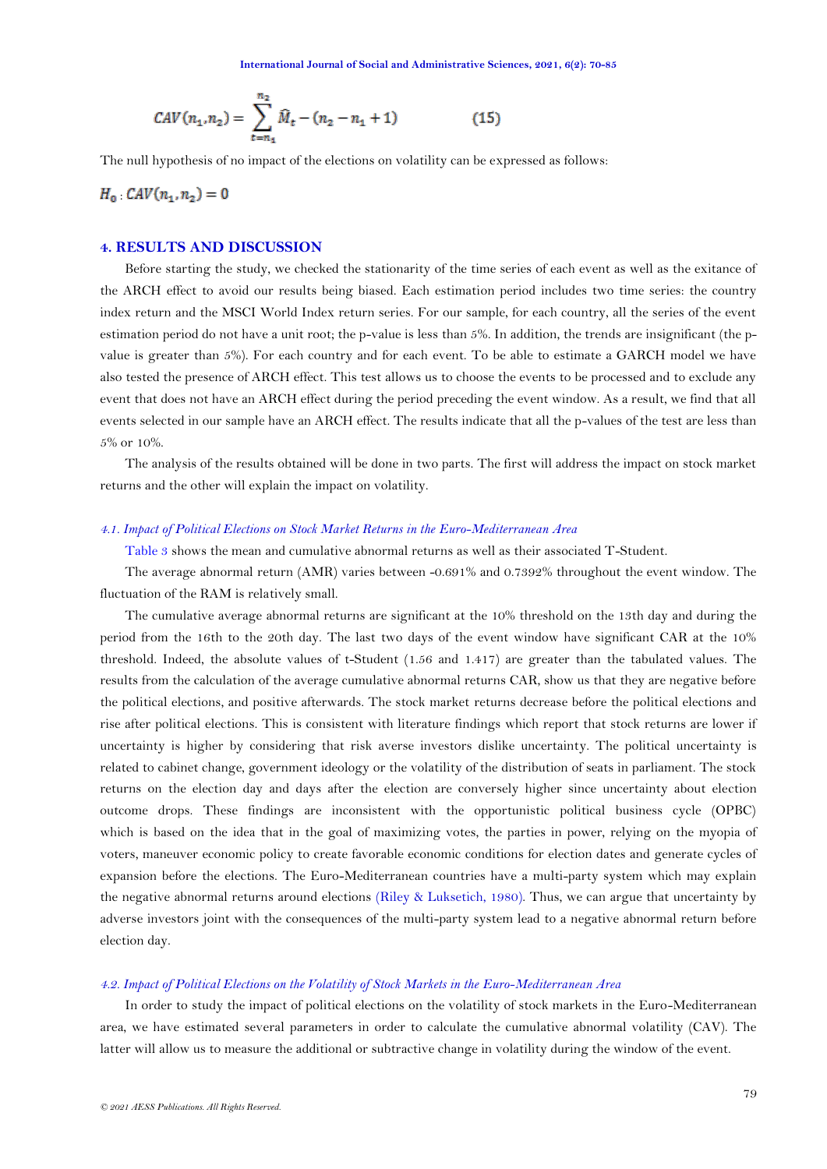<span id="page-9-0"></span>
$$
CAV(n_1, n_2) = \sum_{t=n_1}^{n_2} \widehat{M}_t - (n_2 - n_1 + 1)
$$
 (15)

The null hypothesis of no impact of the elections on volatility can be expressed as follows:

 $H_0$   $CAV(n_1, n_2) = 0$ 

# **4. RESULTS AND DISCUSSION**

Before starting the study, we checked the stationarity of the time series of each event as well as the exitance of the ARCH effect to avoid our results being biased. Each estimation period includes two time series: the country index return and the MSCI World Index return series. For our sample, for each country, all the series of the event estimation period do not have a unit root; the p-value is less than 5%. In addition, the trends are insignificant (the pvalue is greater than 5%). For each country and for each event. To be able to estimate a GARCH model we have also tested the presence of ARCH effect. This test allows us to choose the events to be processed and to exclude any event that does not have an ARCH effect during the period preceding the event window. As a result, we find that all events selected in our sample have an ARCH effect. The results indicate that all the p-values of the test are less than 5% or 10%.

The analysis of the results obtained will be done in two parts. The first will address the impact on stock market returns and the other will explain the impact on volatility.

#### *4.1. Impact of Political Elections on Stock Market Returns in the Euro-Mediterranean Area*

[Table 3](#page-9-0) shows the mean and cumulative abnormal returns as well as their associated T-Student.

The average abnormal return (AMR) varies between -0.691% and 0.7392% throughout the event window. The fluctuation of the RAM is relatively small.

The cumulative average abnormal returns are significant at the 10% threshold on the 13th day and during the period from the 16th to the 20th day. The last two days of the event window have significant CAR at the 10% threshold. Indeed, the absolute values of t-Student (1.56 and 1.417) are greater than the tabulated values. The results from the calculation of the average cumulative abnormal returns CAR, show us that they are negative before the political elections, and positive afterwards. The stock market returns decrease before the political elections and rise after political elections. This is consistent with literature findings which report that stock returns are lower if uncertainty is higher by considering that risk averse investors dislike uncertainty. The political uncertainty is related to cabinet change, government ideology or the volatility of the distribution of seats in parliament. The stock returns on the election day and days after the election are conversely higher since uncertainty about election outcome drops. These findings are inconsistent with the opportunistic political business cycle (OPBC) which is based on the idea that in the goal of maximizing votes, the parties in power, relying on the myopia of voters, maneuver economic policy to create favorable economic conditions for election dates and generate cycles of expansion before the elections. The Euro-Mediterranean countries have a multi-party system which may explain the negative abnormal returns around elections [\(Riley & Luksetich, 1980\)](#page-15-7). Thus, we can argue that uncertainty by adverse investors joint with the consequences of the multi-party system lead to a negative abnormal return before election day.

### *4.2. Impact of Political Elections on the Volatility of Stock Markets in the Euro-Mediterranean Area*

In order to study the impact of political elections on the volatility of stock markets in the Euro-Mediterranean area, we have estimated several parameters in order to calculate the cumulative abnormal volatility (CAV). The latter will allow us to measure the additional or subtractive change in volatility during the window of the event.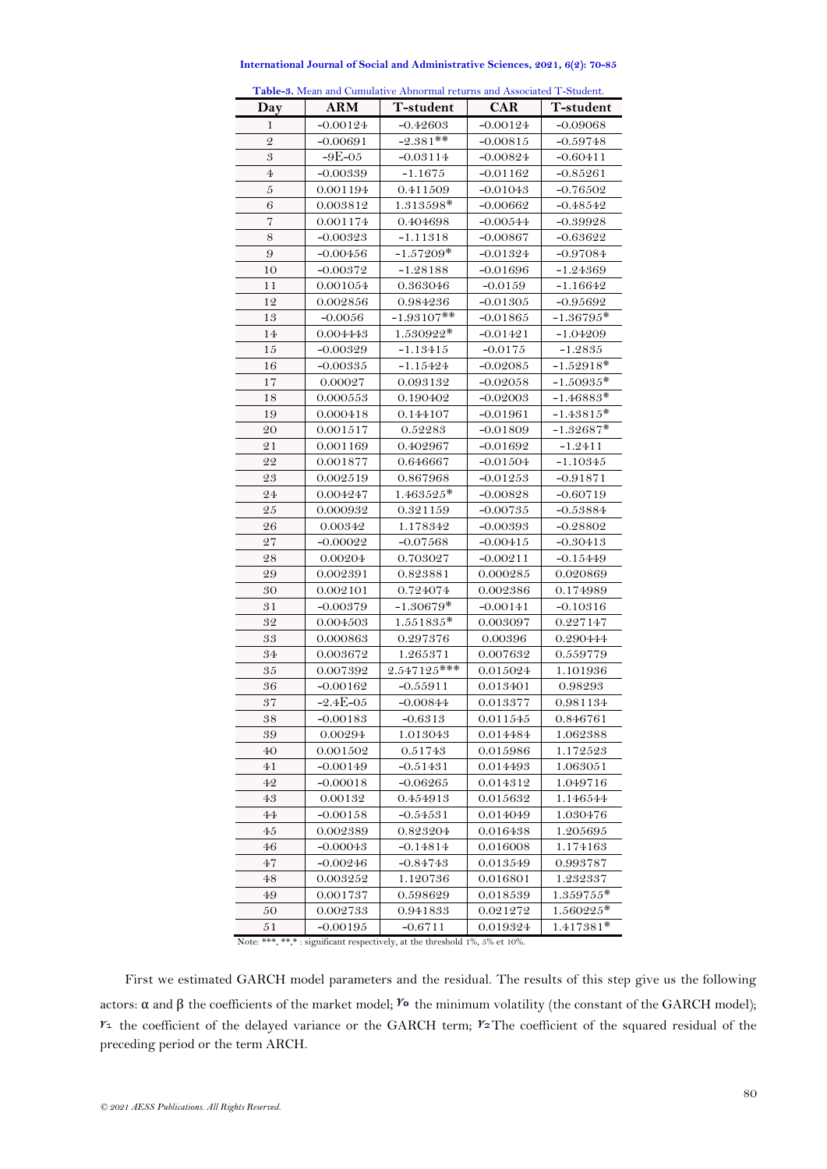| Table-3. Mean and Cumulative Abnormal returns and Associated T-Student. |               |               |            |             |  |  |  |
|-------------------------------------------------------------------------|---------------|---------------|------------|-------------|--|--|--|
| Day                                                                     | <b>ARM</b>    | T-student     | <b>CAR</b> | T-student   |  |  |  |
| 1                                                                       | $-0.00124$    | $-0.42603$    | $-0.00124$ | $-0.09068$  |  |  |  |
| $\overline{2}$                                                          | $-0.00691$    | $-2.381$ **   | $-0.00815$ | $-0.59748$  |  |  |  |
| $\boldsymbol{\mathcal{S}}$                                              | $-9E-05$      | $-0.03114$    | $-0.00824$ | $-0.60411$  |  |  |  |
| $\overline{4}$                                                          | $-0.00339$    | $-1.1675$     | $-0.01162$ | $-0.85261$  |  |  |  |
| $\boldsymbol{5}$                                                        | 0.001194      | 0.411509      | $-0.01043$ | $-0.76502$  |  |  |  |
| 6                                                                       | 0.003812      | 1.313598*     | $-0.00662$ | $-0.48542$  |  |  |  |
| $\overline{7}$                                                          | 0.001174      | 0.404698      | $-0.00544$ | $-0.39928$  |  |  |  |
| 8                                                                       | $-0.00323$    | $-1.11318$    | $-0.00867$ | $-0.63622$  |  |  |  |
| 9                                                                       | $-0.00456$    | $-1.57209*$   | $-0.01324$ | $-0.97084$  |  |  |  |
| 10                                                                      | $-0.00372$    | $-1.28188$    | $-0.01696$ | $-1.24369$  |  |  |  |
| 11                                                                      | 0.001054      | 0.363046      | $-0.0159$  | $-1.16642$  |  |  |  |
| 12                                                                      | 0.002856      | 0.984236      | $-0.01305$ | $-0.95692$  |  |  |  |
| 13                                                                      | $-0.0056$     | $-1.93107**$  | $-0.01865$ | $-1.36795*$ |  |  |  |
| 14                                                                      | 0.004443      | 1.530922*     | $-0.01421$ | $-1.04209$  |  |  |  |
| 15                                                                      | $-0.00329$    | $-1.13415$    | $-0.0175$  | $-1.2835$   |  |  |  |
| 16                                                                      | $-0.00335$    | $-1.15424$    | -0.02085   | $-1.52918*$ |  |  |  |
| 17                                                                      | 0.00027       | 0.093132      | $-0.02058$ | $-1.50935*$ |  |  |  |
| 18                                                                      | 0.000553      | 0.190402      | $-0.02003$ | $-1.46883*$ |  |  |  |
| 19                                                                      | 0.000418      | 0.144107      | $-0.01961$ | $-1.43815*$ |  |  |  |
| 20                                                                      | 0.001517      | 0.52283       | $-0.01809$ | $-1.32687*$ |  |  |  |
| 21                                                                      | 0.001169      | 0.402967      | $-0.01692$ | $-1.2411$   |  |  |  |
| 22                                                                      | 0.001877      | 0.646667      | $-0.01504$ | $-1.10345$  |  |  |  |
| 23                                                                      | 0.002519      | 0.867968      | $-0.01253$ | $-0.91871$  |  |  |  |
| 24                                                                      | 0.004247      | $1.463525*$   | $-0.00828$ | $-0.60719$  |  |  |  |
| 25                                                                      | 0.000932      | 0.321159      | $-0.00735$ | $-0.53884$  |  |  |  |
| 26                                                                      | 0.00342       | 1.178342      | $-0.00393$ | $-0.28802$  |  |  |  |
| 27                                                                      | $-0.00022$    | $-0.07568$    | $-0.00415$ | $-0.30413$  |  |  |  |
| 28                                                                      | 0.00204       | 0.703027      | $-0.00211$ | $-0.15449$  |  |  |  |
| 29                                                                      | 0.002391      | 0.823881      | 0.000285   | 0.020869    |  |  |  |
| 30                                                                      | 0.002101      | 0.724074      | 0.002386   | 0.174989    |  |  |  |
| 31                                                                      | $-0.00379$    | $-1.30679*$   | $-0.00141$ | $-0.10316$  |  |  |  |
| 32                                                                      | 0.004503      | $1.551835*$   | 0.003097   | 0.227147    |  |  |  |
| 33                                                                      | 0.000863      | 0.297376      | 0.00396    | 0.290444    |  |  |  |
| 34                                                                      | 0.003672      | 1.265371      | 0.007632   | 0.559779    |  |  |  |
| 35                                                                      | 0.007392      | $2.547125***$ | 0.015024   | 1.101936    |  |  |  |
| 36                                                                      | $-0.00162$    | $-0.55911$    | 0.013401   | 0.98293     |  |  |  |
| 37                                                                      | $-2.4E - 0.5$ | $-0.00844$    | 0.013377   | 0.981134    |  |  |  |
| 38                                                                      | $-0.00183$    | $-0.6313$     | 0.011545   | 0.846761    |  |  |  |
| 39                                                                      | 0.00294       | 1.013043      | 0.014484   | 1.062388    |  |  |  |
| 40                                                                      | 0.001502      | 0.51743       | 0.015986   | 1.172523    |  |  |  |
| 41                                                                      | $-0.00149$    | -0.51431      | 0.014493   | 1.063051    |  |  |  |
| 42                                                                      | $-0.00018$    | -0.06265      | 0.014312   | 1.049716    |  |  |  |
| 43                                                                      | 0.00132       | 0.454913      | 0.015632   | 1.146544    |  |  |  |
| 44                                                                      | $-0.00158$    | $-0.54531$    | 0.014049   | 1.030476    |  |  |  |
| 45                                                                      | 0.002389      | 0.823204      | 0.016438   | 1.205695    |  |  |  |
| 46                                                                      | $-0.00043$    | $-0.14814$    | 0.016008   | 1.174163    |  |  |  |
| 47                                                                      | $-0.00246$    | $-0.84743$    | 0.013549   | 0.993787    |  |  |  |
| 48                                                                      | 0.003252      | 1.120736      | 0.016801   | 1.232337    |  |  |  |
| 49                                                                      | 0.001737      | 0.598629      | 0.018539   | $1.359755*$ |  |  |  |
| 50                                                                      | 0.002733      | 0.941833      | 0.021272   | 1.560225*   |  |  |  |
| 51                                                                      | $-0.00195$    | $-0.6711$     | 0.019324   | 1.417381*   |  |  |  |

**International Journal of Social and Administrative Sciences, 2021, 6(2): 70-85**

Note: \*\*\*, \*\*,\* : significant respectively, at the threshold 1%, 5% et 10%.

First we estimated GARCH model parameters and the residual. The results of this step give us the following actors: α and β the coefficients of the market model; <sup>γ</sup> the minimum volatility (the constant of the GARCH model);  $Y_1$  the coefficient of the delayed variance or the GARCH term;  $Y_2$ The coefficient of the squared residual of the preceding period or the term ARCH.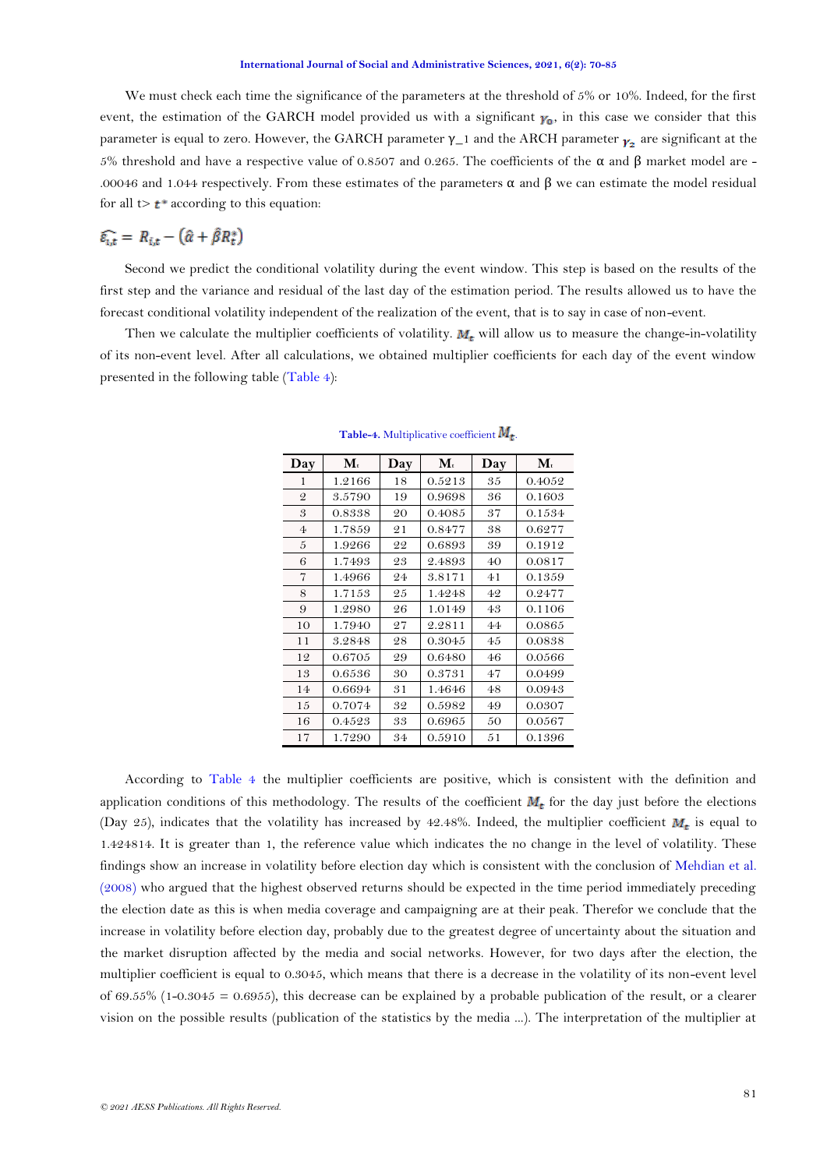We must check each time the significance of the parameters at the threshold of 5% or 10%. Indeed, for the first event, the estimation of the GARCH model provided us with a significant  $\gamma_0$ , in this case we consider that this parameter is equal to zero. However, the GARCH parameter  $\gamma$ <sup>1</sup> and the ARCH parameter  $\gamma$ <sub>2</sub> are significant at the 5% threshold and have a respective value of 0.8507 and 0.265. The coefficients of the α and β market model are - .00046 and 1.044 respectively. From these estimates of the parameters  $\alpha$  and β we can estimate the model residual for all  $t > t^*$  according to this equation:

# $\widehat{\varepsilon_{i,t}} = R_{i,t} - (\widehat{\alpha} + \widehat{\beta}R_t^*)$

Second we predict the conditional volatility during the event window. This step is based on the results of the first step and the variance and residual of the last day of the estimation period. The results allowed us to have the forecast conditional volatility independent of the realization of the event, that is to say in case of non-event.

<span id="page-11-0"></span>Then we calculate the multiplier coefficients of volatility.  $M_t$  will allow us to measure the change-in-volatility of its non-event level. After all calculations, we obtained multiplier coefficients for each day of the event window presented in the following table [\(Table 4\)](#page-11-0):

| Day            | $\mathbf{M}_{t}$ | Day | $\mathbf{M}_t$ | Day | $\mathbf{M}_{t}$ |
|----------------|------------------|-----|----------------|-----|------------------|
| 1              | 1.2166           | 18  | 0.5213         | 35  | 0.4052           |
| $\mathcal{Q}$  | 3.5790           | 19  | 0.9698         | 36  | 0.1603           |
| 3              | 0.8338           | 20  | 0.4085         | 37  | 0.1534           |
| $\overline{4}$ | 1.7859           | 21  | 0.8477         | 38  | 0.6277           |
| 5              | 1.9266           | 22  | 0.6893         | 39  | 0.1912           |
| 6              | 1.7493           | 23  | 2.4893         | 40  | 0.0817           |
| 7              | 1.4966           | 24  | 3.8171         | 41  | 0.1359           |
| 8              | 1.7153           | 25  | 1.4248         | 42  | 0.2477           |
| 9              | 1.2980           | 26  | 1.0149         | 43  | 0.1106           |
| 10             | 1.7940           | 27  | 2.2811         | 44  | 0.0865           |
| 11             | 3.2848           | 28  | 0.3045         | 45  | 0.0838           |
| 12             | 0.6705           | 29  | 0.6480         | 46  | 0.0566           |
| 13             | 0.6536           | 30  | 0.3731         | 47  | 0.0499           |
| 14             | 0.6694           | 31  | 1.4646         | 48  | 0.0943           |
| 15             | 0.7074           | 32  | 0.5982         | 49  | 0.0307           |
| 16             | 0.4523           | 33  | 0.6965         | 50  | 0.0567           |
| 17             | 1.7290           | 34  | 0.5910         | 51  | 0.1396           |

**Table-4.** Multiplicative coefficient  $M_t$ .

According to [Table 4](#page-11-0) the multiplier coefficients are positive, which is consistent with the definition and application conditions of this methodology. The results of the coefficient  $M_t$  for the day just before the elections (Day 25), indicates that the volatility has increased by 42.48%. Indeed, the multiplier coefficient  $M_t$  is equal to 1.424814. It is greater than 1, the reference value which indicates the no change in the level of volatility. These findings show an increase in volatility before election day which is consistent with the conclusion of [Mehdian et al.](#page-14-1)  [\(2008\)](#page-14-1) who argued that the highest observed returns should be expected in the time period immediately preceding the election date as this is when media coverage and campaigning are at their peak. Therefor we conclude that the increase in volatility before election day, probably due to the greatest degree of uncertainty about the situation and the market disruption affected by the media and social networks. However, for two days after the election, the multiplier coefficient is equal to 0.3045, which means that there is a decrease in the volatility of its non-event level of 69.55% (1-0.3045 = 0.6955), this decrease can be explained by a probable publication of the result, or a clearer vision on the possible results (publication of the statistics by the media ...). The interpretation of the multiplier at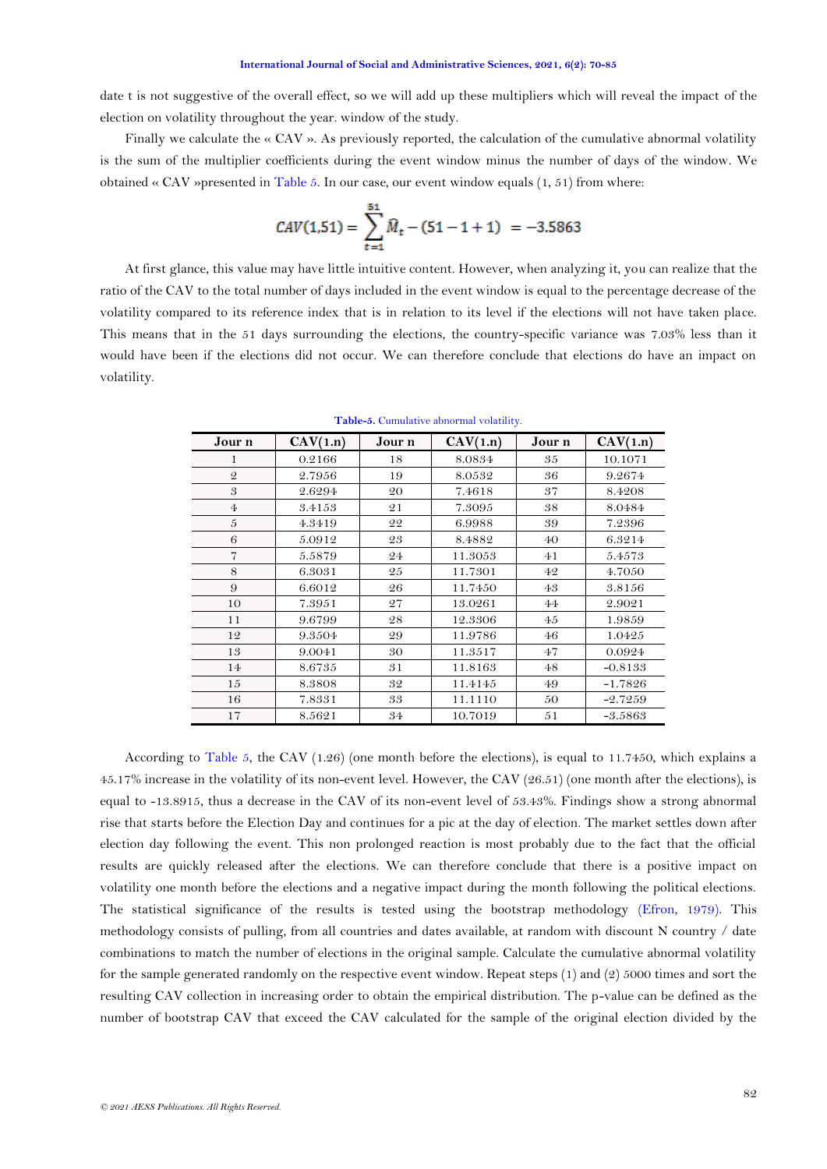date t is not suggestive of the overall effect, so we will add up these multipliers which will reveal the impact of the election on volatility throughout the year. window of the study.

Finally we calculate the  $\ll$  CAV ». As previously reported, the calculation of the cumulative abnormal volatility is the sum of the multiplier coefficients during the event window minus the number of days of the window. We obtained « CAV »presented in [Table 5.](#page-12-0) In our case, our event window equals (1, 51) from where:

$$
CAV(1.51) = \sum_{t=1}^{51} \widehat{M}_t - (51 - 1 + 1) = -3.5863
$$

At first glance, this value may have little intuitive content. However, when analyzing it, you can realize that the ratio of the CAV to the total number of days included in the event window is equal to the percentage decrease of the volatility compared to its reference index that is in relation to its level if the elections will not have taken place. This means that in the 51 days surrounding the elections, the country-specific variance was 7.03% less than it would have been if the elections did not occur. We can therefore conclude that elections do have an impact on volatility.

<span id="page-12-0"></span>

| Jour n         | CAV(1.n) | Jour n | CAV(1.n) | Jour n | CAV(1.n)  |
|----------------|----------|--------|----------|--------|-----------|
| 1              | 0.2166   | 18     | 8.0834   | 35     | 10.1071   |
| $\mathcal{Q}$  | 2.7956   | 19     | 8.0532   | 36     | 9.2674    |
| 3              | 2.6294   | 20     | 7.4618   | 37     | 8.4208    |
| $\overline{4}$ | 3.4153   | 21     | 7.3095   | 38     | 8.0484    |
| 5              | 4.3419   | 22     | 6.9988   | 39     | 7.2396    |
| 6              | 5.0912   | 23     | 8.4882   | 40     | 6.3214    |
| $\overline{7}$ | 5.5879   | 24     | 11.3053  | 41     | 5.4573    |
| 8              | 6.3031   | 25     | 11.7301  | 42     | 4.7050    |
| 9              | 6.6012   | 26     | 11.7450  | 43     | 3.8156    |
| 10             | 7.3951   | 27     | 13.0261  | 44     | 2.9021    |
| 11             | 9.6799   | 28     | 12.3306  | 45     | 1.9859    |
| 12             | 9.3504   | 29     | 11.9786  | 46     | 1.0425    |
| 13             | 9.0041   | 30     | 11.3517  | 47     | 0.0924    |
| 14             | 8.6735   | 31     | 11.8163  | 48     | $-0.8133$ |
| 15             | 8.3808   | 32     | 11.4145  | 49     | $-1.7826$ |
| 16             | 7.8331   | 33     | 11.1110  | 50     | $-2.7259$ |
| 17             | 8.5621   | 34     | 10.7019  | 51     | $-3.5863$ |

**Table-5.** Cumulative abnormal volatility.

According to [Table 5,](#page-12-0) the CAV (1.26) (one month before the elections), is equal to 11.7450, which explains a 45.17% increase in the volatility of its non-event level. However, the CAV (26.51) (one month after the elections), is equal to -13.8915, thus a decrease in the CAV of its non-event level of 53.43%. Findings show a strong abnormal rise that starts before the Election Day and continues for a pic at the day of election. The market settles down after election day following the event. This non prolonged reaction is most probably due to the fact that the official results are quickly released after the elections. We can therefore conclude that there is a positive impact on volatility one month before the elections and a negative impact during the month following the political elections. The statistical significance of the results is tested using the bootstrap methodology [\(Efron, 1979\)](#page-13-4). This methodology consists of pulling, from all countries and dates available, at random with discount N country / date combinations to match the number of elections in the original sample. Calculate the cumulative abnormal volatility for the sample generated randomly on the respective event window. Repeat steps (1) and (2) 5000 times and sort the resulting CAV collection in increasing order to obtain the empirical distribution. The p-value can be defined as the number of bootstrap CAV that exceed the CAV calculated for the sample of the original election divided by the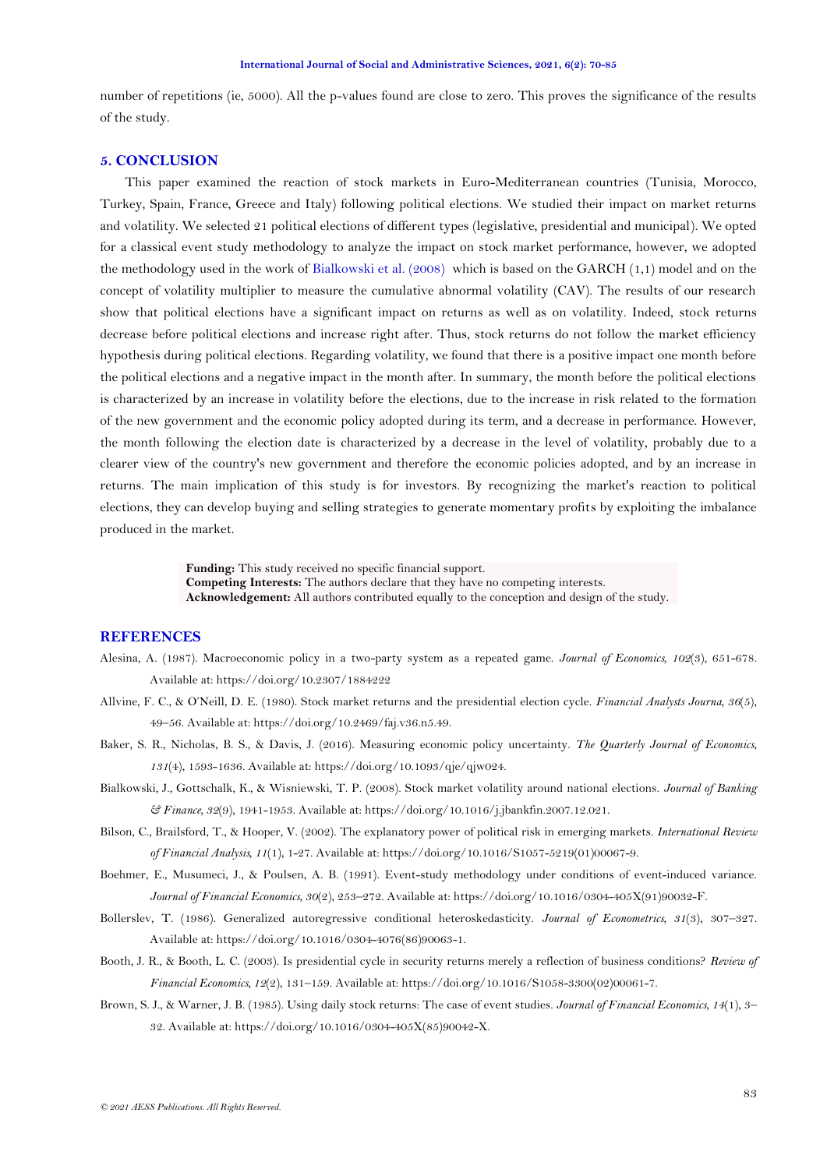<span id="page-13-4"></span>number of repetitions (ie, 5000). All the p-values found are close to zero. This proves the significance of the results of the study.

# **5. CONCLUSION**

This paper examined the reaction of stock markets in Euro-Mediterranean countries (Tunisia, Morocco, Turkey, Spain, France, Greece and Italy) following political elections. We studied their impact on market returns and volatility. We selected 21 political elections of different types (legislative, presidential and municipal). We opted for a classical event study methodology to analyze the impact on stock market performance, however, we adopted the methodology used in the work of [Bialkowski et al. \(2008\)](#page-13-0) which is based on the GARCH (1,1) model and on the concept of volatility multiplier to measure the cumulative abnormal volatility (CAV). The results of our research show that political elections have a significant impact on returns as well as on volatility. Indeed, stock returns decrease before political elections and increase right after. Thus, stock returns do not follow the market efficiency hypothesis during political elections. Regarding volatility, we found that there is a positive impact one month before the political elections and a negative impact in the month after. In summary, the month before the political elections is characterized by an increase in volatility before the elections, due to the increase in risk related to the formation of the new government and the economic policy adopted during its term, and a decrease in performance. However, the month following the election date is characterized by a decrease in the level of volatility, probably due to a clearer view of the country's new government and therefore the economic policies adopted, and by an increase in returns. The main implication of this study is for investors. By recognizing the market's reaction to political elections, they can develop buying and selling strategies to generate momentary profits by exploiting the imbalance produced in the market.

> **Funding:** This study received no specific financial support. **Competing Interests:** The authors declare that they have no competing interests. **Acknowledgement:** All authors contributed equally to the conception and design of the study.

# **REFERENCES**

- <span id="page-13-2"></span>Alesina, A. (1987). Macroeconomic policy in a two-party system as a repeated game. *Journal of Economics, 102*(3), 651-678. Available at: https://doi.org/10.2307/1884222
- <span id="page-13-6"></span>Allvine, F. C., & O'Neill, D. E. (1980). Stock market returns and the presidential election cycle. *Financial Analysts Journa, 36*(5), 49–56. Available at: https://doi.org/10.2469/faj.v36.n5.49.
- <span id="page-13-1"></span>Baker, S. R., Nicholas, B. S., & Davis, J. (2016). Measuring economic policy uncertainty. *The Quarterly Journal of Economics, 131*(4), 1593-1636. Available at: https://doi.org/10.1093/qje/qjw024.
- <span id="page-13-0"></span>Bialkowski, J., Gottschalk, K., & Wisniewski, T. P. (2008). Stock market volatility around national elections. *Journal of Banking & Finance, 32*(9), 1941-1953. Available at: https://doi.org/10.1016/j.jbankfin.2007.12.021.
- <span id="page-13-5"></span>Bilson, C., Brailsford, T., & Hooper, V. (2002). The explanatory power of political risk in emerging markets. *International Review of Financial Analysis, 11*(1), 1-27. Available at: https://doi.org/10.1016/S1057-5219(01)00067-9.
- <span id="page-13-9"></span>Boehmer, E., Musumeci, J., & Poulsen, A. B. (1991). Event-study methodology under conditions of event-induced variance. *Journal of Financial Economics, 30*(2), 253–272. Available at: https://doi.org/10.1016/0304-405X(91)90032-F.
- <span id="page-13-8"></span>Bollerslev, T. (1986). Generalized autoregressive conditional heteroskedasticity. *Journal of Econometrics, 31*(3), 307–327. Available at: https://doi.org/10.1016/0304-4076(86)90063-1.
- <span id="page-13-3"></span>Booth, J. R., & Booth, L. C. (2003). Is presidential cycle in security returns merely a reflection of business conditions? *Review of Financial Economics, 12*(2), 131–159. Available at: https://doi.org/10.1016/S1058-3300(02)00061-7.
- <span id="page-13-7"></span>Brown, S. J., & Warner, J. B. (1985). Using daily stock returns: The case of event studies. *Journal of Financial Economics, 14*(1), 3– 32. Available at: https://doi.org/10.1016/0304-405X(85)90042-X.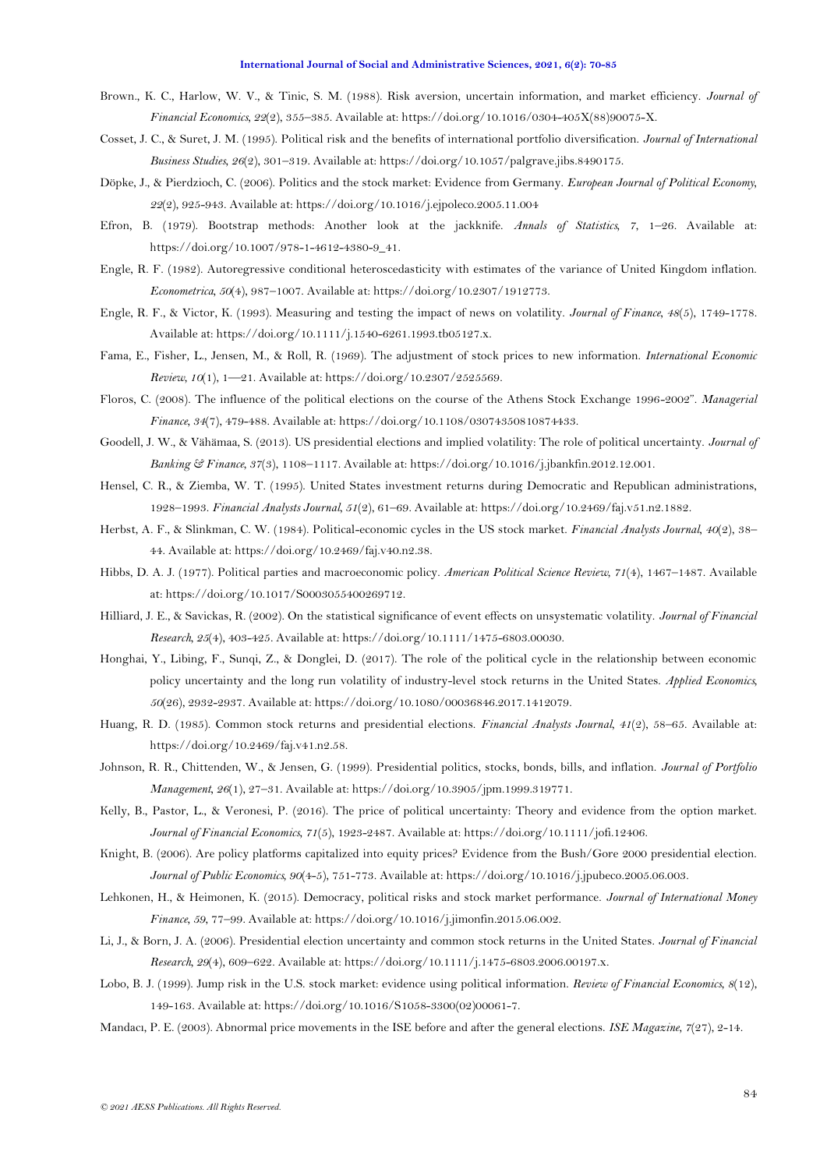- <span id="page-14-1"></span>Brown., K. C., Harlow, W. V., & Tinic, S. M. (1988). Risk aversion, uncertain information, and market efficiency. *Journal of Financial Economics, 22*(2), 355–385. Available at: https://doi.org/10.1016/0304-405X(88)90075-X.
- Cosset, J. C., & Suret, J. M. (1995). Political risk and the benefits of international portfolio diversification. *Journal of International Business Studies, 26*(2), 301–319. Available at: https://doi.org/10.1057/palgrave.jibs.8490175.
- Döpke, J., & Pierdzioch, C. (2006). Politics and the stock market: Evidence from Germany. *European Journal of Political Economy, 22*(2), 925-943. Available at: https://doi.org/10.1016/j.ejpoleco.2005.11.004
- Efron, B. (1979). Bootstrap methods: Another look at the jackknife. *Annals of Statistics, 7*, 1–26. Available at: https://doi.org/10.1007/978-1-4612-4380-9\_41.
- Engle, R. F. (1982). Autoregressive conditional heteroscedasticity with estimates of the variance of United Kingdom inflation. *Econometrica, 50*(4), 987–1007. Available at: https://doi.org/10.2307/1912773.
- Engle, R. F., & Victor, K. (1993). Measuring and testing the impact of news on volatility. *Journal of Finance, 48*(5), 1749-1778. Available at: https://doi.org/10.1111/j.1540-6261.1993.tb05127.x.
- <span id="page-14-15"></span>Fama, E., Fisher, L., Jensen, M., & Roll, R. (1969). The adjustment of stock prices to new information. *International Economic Review, 10*(1), 1—21. Available at: https://doi.org/10.2307/2525569.
- <span id="page-14-4"></span>Floros, C. (2008). The influence of the political elections on the course of the Athens Stock Exchange 1996-2002". *Managerial Finance, 34*(7), 479-488. Available at: https://doi.org/10.1108/03074350810874433.
- <span id="page-14-7"></span>Goodell, J. W., & Vähämaa, S. (2013). US presidential elections and implied volatility: The role of political uncertainty. *Journal of Banking & Finance, 37*(3), 1108–1117. Available at: https://doi.org/10.1016/j.jbankfin.2012.12.001.
- <span id="page-14-9"></span>Hensel, C. R., & Ziemba, W. T. (1995). United States investment returns during Democratic and Republican administrations, 1928–1993. *Financial Analysts Journal, 51*(2), 61–69. Available at: https://doi.org/10.2469/faj.v51.n2.1882.
- <span id="page-14-12"></span>Herbst, A. F., & Slinkman, C. W. (1984). Political-economic cycles in the US stock market. *Financial Analysts Journal, 40*(2), 38– 44. Available at: https://doi.org/10.2469/faj.v40.n2.38.
- <span id="page-14-2"></span>Hibbs, D. A. J. (1977). Political parties and macroeconomic policy. *American Political Science Review, 71*(4), 1467–1487. Available at: https://doi.org/10.1017/S0003055400269712.
- <span id="page-14-16"></span>Hilliard, J. E., & Savickas, R. (2002). On the statistical significance of event effects on unsystematic volatility. *Journal of Financial Research, 25*(4), 403-425. Available at: https://doi.org/10.1111/1475-6803.00030.
- <span id="page-14-3"></span>Honghai, Y., Libing, F., Sunqi, Z., & Donglei, D. (2017). The role of the political cycle in the relationship between economic policy uncertainty and the long run volatility of industry-level stock returns in the United States. *Applied Economics, 50*(26), 2932-2937. Available at: https://doi.org/10.1080/00036846.2017.1412079.
- <span id="page-14-13"></span>Huang, R. D. (1985). Common stock returns and presidential elections. *Financial Analysts Journal, 41*(2), 58–65. Available at: https://doi.org/10.2469/faj.v41.n2.58.
- <span id="page-14-14"></span>Johnson, R. R., Chittenden, W., & Jensen, G. (1999). Presidential politics, stocks, bonds, bills, and inflation. *Journal of Portfolio Management, 26*(1), 27–31. Available at: https://doi.org/10.3905/jpm.1999.319771.
- <span id="page-14-8"></span>Kelly, B., Pastor, L., & Veronesi, P. (2016). The price of political uncertainty: Theory and evidence from the option market. *Journal of Financial Economics, 71*(5), 1923-2487. Available at: https://doi.org/10.1111/jofi.12406.
- <span id="page-14-5"></span>Knight, B. (2006). Are policy platforms capitalized into equity prices? Evidence from the Bush/Gore 2000 presidential election. *Journal of Public Economics, 90*(4-5), 751-773. Available at: https://doi.org/10.1016/j.jpubeco.2005.06.003.
- <span id="page-14-0"></span>Lehkonen, H., & Heimonen, K. (2015). Democracy, political risks and stock market performance. *Journal of International Money Finance, 59*, 77–99. Available at: https://doi.org/10.1016/j.jimonfin.2015.06.002.
- <span id="page-14-6"></span>Li, J., & Born, J. A. (2006). Presidential election uncertainty and common stock returns in the United States. *Journal of Financial Research, 29*(4), 609–622. Available at: https://doi.org/10.1111/j.1475-6803.2006.00197.x.
- <span id="page-14-10"></span>Lobo, B. J. (1999). Jump risk in the U.S. stock market: evidence using political information. *Review of Financial Economics, 8*(12), 149-163. Available at: https://doi.org/10.1016/S1058-3300(02)00061-7.
- <span id="page-14-11"></span>Mandacı, P. E. (2003). Abnormal price movements in the ISE before and after the general elections. *ISE Magazine, 7*(27), 2-14.